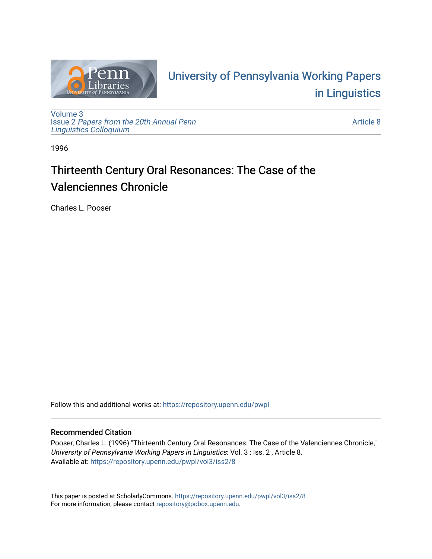

# University of P[ennsylvania Working P](https://repository.upenn.edu/pwpl)apers [in Linguistics](https://repository.upenn.edu/pwpl)

[Volume 3](https://repository.upenn.edu/pwpl/vol3) Issue 2 [Papers from the 20th Annual Penn](https://repository.upenn.edu/pwpl/vol3/iss2) [Linguistics Colloquium](https://repository.upenn.edu/pwpl/vol3/iss2)

[Article 8](https://repository.upenn.edu/pwpl/vol3/iss2/8) 

1996

## Thirteenth Century Oral Resonances: The Case of the Valenciennes Chronicle

Charles L. Pooser

Follow this and additional works at: [https://repository.upenn.edu/pwpl](https://repository.upenn.edu/pwpl?utm_source=repository.upenn.edu%2Fpwpl%2Fvol3%2Fiss2%2F8&utm_medium=PDF&utm_campaign=PDFCoverPages) 

## Recommended Citation

Pooser, Charles L. (1996) "Thirteenth Century Oral Resonances: The Case of the Valenciennes Chronicle," University of Pennsylvania Working Papers in Linguistics: Vol. 3 : Iss. 2 , Article 8. Available at: [https://repository.upenn.edu/pwpl/vol3/iss2/8](https://repository.upenn.edu/pwpl/vol3/iss2/8?utm_source=repository.upenn.edu%2Fpwpl%2Fvol3%2Fiss2%2F8&utm_medium=PDF&utm_campaign=PDFCoverPages) 

This paper is posted at ScholarlyCommons.<https://repository.upenn.edu/pwpl/vol3/iss2/8> For more information, please contact [repository@pobox.upenn.edu.](mailto:repository@pobox.upenn.edu)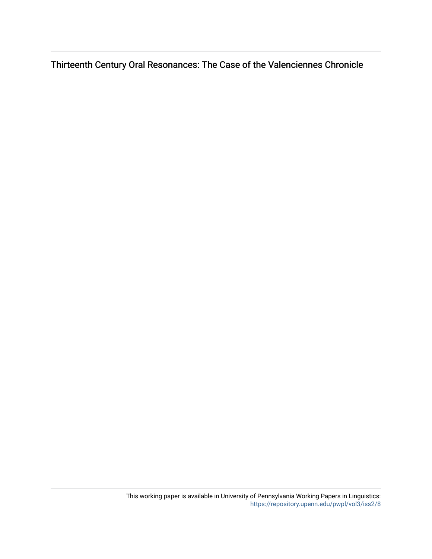Thirteenth Century Oral Resonances: The Case of the Valenciennes Chronicle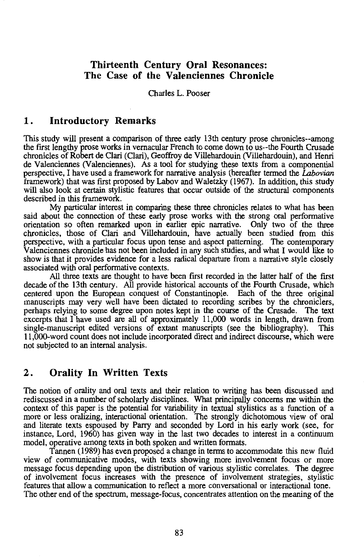## **Thirteenth Century Oral Resonances: The Case of the Valenciennes Chronicle**

#### Charles L. Pooser

#### **1. Introductory Remarks**

This study will present a comparison of three early 13th century prose chronicles--among the first lengthy prose works in vernacular French to come down to us--the Fourth Crusade chronicles of Robert de Clari (Clari), Geoffroy de Villehardouin (Villehardouin), and Henri de Valenciennes (Valenciennes). As a tool for studying these texts from a componential perspective, I have used a framework for narrative analysis (hereafter termed the *Labovian*  framework) that was first proposed by Labov and Waletzky (1967). In addition, this study will also look at certain stylistic features that occur outside of the structural components described in this framework.

My particular interest in comparing these three chronicles relates to what has been said about the connection of these early prose works with the strong oral performative orientation so often remarked upon in earlier epic narrative. Only two of the three chronicles, those of Clari and Villehardouin, have actually been studied from this perspective, with a particular focus upon tense and aspect patterning. The contemporary Valenciennes chronicle has not been included in any such studies, and what I would like to show is that it provides evidence for a less radical departure from a narrative style closely associated with oral performative contexts.

All three texts are thought to have been first recorded in the latter half of the first decade of the 13th century. All provide historical accounts of the Fourth Crusade, which centered upon the European conquest of Constantinople. Each of the three original manuscripts may very well have been dictated to recording scribes by the chroniclers, perhaps relying to some degree upon notes kept in the course of the Crusade. The text excerpts that I have used are all of approximately 11,000 words in length, drawn from single-manuscript edited versions of extant manuscripts (see the bibliography). This 11,000-word count does not include incorporated direct and indirect discourse, which were not subjected to an internal analysis.

### **2. Orality In Written Texts**

The notion of orality and oral texts and their relation to writing has been discussed and rediscussed in a number of scholarly disciplines. What principally concerns me within the context of this paper is the potential for variability in textual stylistics as a function of a more or less oralizing, interactional orientation. The strongly dichotomous view of oral and literate texts espoused by Parry and seconded by Lord in his early work (see, for instance, Lord, 1960) has given way in the last two decades to interest in a continuum model, operative among texts in both spoken and written formats.

Tannen (1989) has even proposed a change in terms to accommodate this new fluid view of communicative modes, with texts showing more involvement focus or more message focus depending upon the distribution of various stylistic correlates. The degree of involvement focus increases with the presence of involvement strategies, stylistic features that allow a communication to reflect a more conversational or interactional tone. The other end of the spectrum, message-focus, concentrates attention on the meaning of the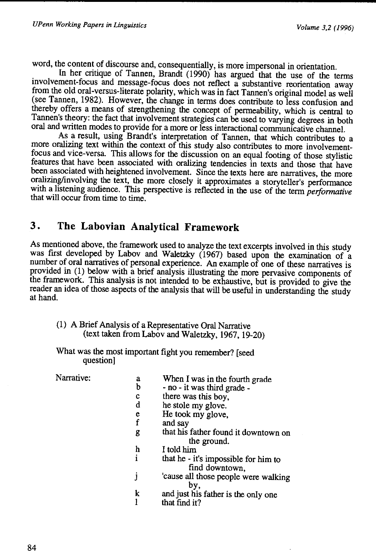word, the content of discourse and, consequentially, is more impersonal in orientation.

In her critique of Tannen, Brandt (1990) has argued that the use of the terms involvement-focus and message-focus does not reflect a substantive reorientation away from the old oral-versus-literate polarity, which was in fact Tannen's original model as well (see Tannen, 1982). However, the change in terms does contribute to less confusion and thereby offers a means of strengthening the concept of permeability, which is central to Tannen's theory: the fact that involvement strategies can be used to varying degrees in both oral and written modes to provide for a more or less interactional communicative channel.

As a result, using Brandt's interpretation of Tannen, that which contributes to a more oralizing text within the context of this study also contributes to more involvementfocus and vice-versa. This allows for the discussion on an equal footing of those stylistic features that have been associated with oralizing tendencies in texts and those that have been associated with heightened involvement. Since the texts here are narratives, the more oralizing/involving the text, the more closely it approximates a storyteller's performance with a listening audience. This perspective is reflected in the use of the term *performative*  that will occur from time to time.

## **3. The Labovian Analytical Framework**

As mentioned above, the framework used to analyze the text excerpts involved in this study was first developed by Labov and Waletzky (1967) based upon the examination of a number of oral narratives of personal experience. An example of one of these narratives is provided in (I) below with a brief analysis illustrating the more pervasive components of the framework. This analysis is not intended to be exhaustive, but is provided to give the reader an idea of those aspects of the analysis that will be useful in understanding the study at hand.

- (I) A Brief Analysis of a Representative Oral Narrative (text taken from Labov and Waletzky, 1967, 19-20)
- What was the most important fight you remember? [seed question]

Narrative:

|   | a | When I was in the fourth grade                         |
|---|---|--------------------------------------------------------|
|   | b | - no - it was third grade -                            |
|   | с | there was this boy.                                    |
|   | d | he stole my glove.                                     |
|   | e | He took my glove,                                      |
|   | f | and sav                                                |
|   | g | that his father found it downtown on<br>the ground.    |
|   | h | I told him                                             |
| i |   | that he - it's impossible for him to<br>find downtown. |
| Ĵ |   | 'cause all those people were walking<br>by.            |
|   | k | and just his father is the only one                    |
|   |   | that find it?                                          |
|   |   |                                                        |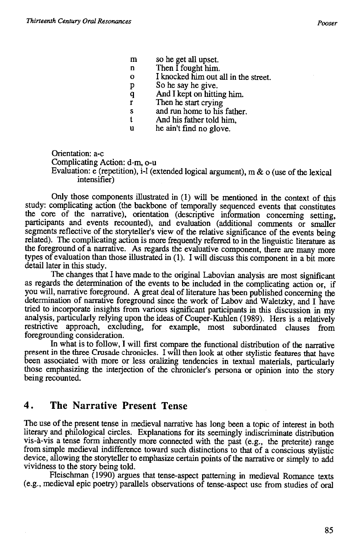- m so he get all upset.
- n Then I fought him.
- 0 I knocked him out all in the street.
- p So he say he give.
- q And I kept on hitting him.
- r Then he start crying
- s and run home to his father.
- t And his father told him,
- u he ain't find no glove.

Orientation: a-c Complicating Action: d-m, o-u Evaluation: e (repetition), i-1 (extended logical argument), m & o (use of the lexical intensifier)

Only those components illustrated in (1) will be mentioned in the context of this study: complicating action (the backbone of temporally sequenced events that constitutes the core of the narrative), orientation (descriptive information concerning setting, participants and events recounted), and evaluation (additional comments or smaller segments reflective of the storyteller's view of the relative significance of the events being related). The complicating action is more frequently referred to in the linguistic literature as the foreground of a narrative. As regards the evaluative component, there are many more types of evaluation than those illustrated in (1). I will discuss this component in a bit more detail later in this study.

The changes that I have made to the original Labovian analysis are most significant as regards the determination of the events to be included in the complicating action or, if you will, narrative foreground. A great deal of literature has been published concerning the determination of narrative foreground since the work of Labov and Waletzky, and I have tried to incorporate insights from various significant participants in this discussion in my analysis, particularly relying upon the ideas of Couper-Kuhlen (1989). Hers is a relatively restrictive approach, excluding, for example, most subordinated clauses from foregrounding consideration.

In what is to follow, I will first compare the functional distribution of the narrative present in the three Crusade chronicles. I will then look at other stylistic features that have been associated with more or less oralizing tendencies in textual materials, particularly those emphasizing the interjection of the chronicler's persona or opinion into the story being recounted.

## **4. The Narrative Present Tense**

The use of the present tense in medieval narrative has long been a topic of interest in both literary and philological circles. Explanations for its seemingly indiscriminate distribution vis-a-vis a tense form inherently more connected with the past (e.g., the preterite) range from simple medieval indifference toward such distinctions to that of a conscious stylistic device, allowing the storyteller to emphasize certain points of the narrative or simply to add vividness to the story being told.

Fleischman ( 1990) argues that tense-aspect patterning in medieval Romance texts (e.g., medieval epic poetry) parallels observations of tense-aspect use from studies of oral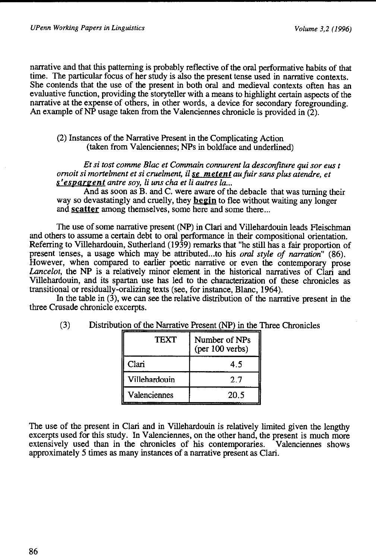narrative and that this patterning is probably reflective of the oral performative habits of that time. The particular focus of her study is also the present tense used in narrative contexts. She contends that the use of the present in both oral and medieval contexts often has an evaluative function, providing the storyteller with a means to highlight certain aspects of the narrative at the expense of others, in other words, a device for secondary foregrounding. An example of  $\overline{NP}$  usage taken from the Valenciennes chronicle is provided in  $(2)$ .

(2) Instances of the Narrative Present in the Complicating Action (taken from Valenciennes; NPs in boldface and underlined)

*Et si tost comme Blac et Commain connurent la desconfiture qui sor eus t ornoit si mortelment et si cruelment,* il *se me tent aufuir sans plus atendre, et s*'espargent antre soy, li uns cha et li autres la...

And as soon as B. and C. were aware of the debacle that was turning their way so devastatingly and cruelly, they **begin** to flee without waiting any longer and **scatter** among themselves, some here and some there...

The use of some narrative present (NP) in Clari and Villehardouin leads Fleischman and others to assume a certain debt to oral performance in their compositional orientation. Referring to Villehardouin, Sutherland (1939) remarks that "he still has a fair proportion of present tenses, a usage which may be attributed ... to his *oral style of narration"* (86). However, when compared to earlier poetic narrative or even the contemporary prose Lancelot, the NP is a relatively minor element in the historical narratives of Clari and Villehardouin, and its spartan use has led to the characterization of these chronicles as transitional or residually-oralizing texts (see, for instance, Blanc, 1964).

In the table in  $(3)$ , we can see the relative distribution of the narrative present in the three Crusade chronicle excerpts.

| <b>TEXT</b>   | Number of NPs<br>$(per 100$ verbs) |
|---------------|------------------------------------|
| Clari         | 45                                 |
| Villehardouin | 2.7                                |
| Valenciennes  | 20.5                               |

(3) Distribution of the Narrative Present (NP) in the Three Chronicles

The use of the present in Clari and in Villehardouin is relatively limited given the lengthy excerpts used for this study. In Valenciennes, on the other hand, the present is much more extensively used than in the chronicles of his contemporaries. Valenciennes shows approximately 5 times as many instances of a narrative present as Clari.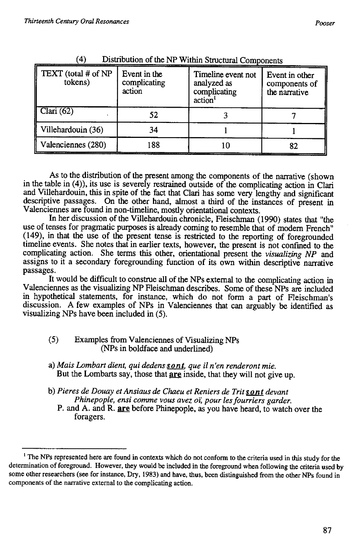| TEXT (total # of NP<br>tokens) | Event in the<br>complicating<br>action | Timeline event not<br>analyzed as<br>complicating<br>action <sup>1</sup> | Event in other<br>components of<br>the narrative |
|--------------------------------|----------------------------------------|--------------------------------------------------------------------------|--------------------------------------------------|
| Clari $(62)$                   | 52                                     |                                                                          |                                                  |
| Villehardouin (36)             | 34                                     |                                                                          |                                                  |
| Valenciennes (280)             | 188                                    |                                                                          | 82                                               |

(4) Distribution of the NP Within Structural Components

As to the distribution of the present among the components of the narrative (shown in the table in (4)), its use is severely restrained outside of the complicating action in Clari and Villehardouin, this in spite of the fact that Clari has some very lengthy and significant descriptive passages. On the other hand, almost a third of the instances of present in Valenciennes are found in non-timeline, mostly orientational contexts.

In her discussion of the Villehardouin chronicle, Fleischman ( 1990) states that "the use of tenses for pragmatic purposes is already coming to resemble that of modern French" (149), in that the use of the present tense is restricted to the reporting of foregrounded timeline events. She notes that in earlier texts, however, the present is not confmed to the complicating action. She terms this other, orientational present the *visualizing NP* and assigns to it a secondary foregrounding function of its own within descriptive narrative passages.

It would be difficult to construe all of the NPs external to the complicating action in Valenciennes as the visualizing NP Fleischman describes. Some of these NPs are included in hypothetical statements, for instance, which do not form a part of Fleischman's discussion. A few examples of NPs in Valenciennes that can arguably be identified as visualizing NPs have been included in (5).

#### ( 5) Examples from Valenciennes of Visualizing NPs (NPs in boldface and underlined)

- a) *Mais Lombart dient, qui dedens sont, que* il *n 'en renderont mie.*  But the Lombarts say, those that are inside, that they will not give up.
- b) *Pie res de Douay et Ansiaus de Chaeu et Reniers de Trit son t devant Phinepople, ensi comme vous avez oi; pour lesfourriers garder.* 
	- P. and A. and R. **are** before Phinepople, as you have heard, to watch over the foragers.

<sup>&</sup>lt;sup>1</sup> The NPs represented here are found in contexts which do not conform to the criteria used in this study for the determination of foreground. However, they would be included in the foreground when following the criteria used by some other researchers (see for instance, Dry, 1983) and have, thus, been distinguished from the other NPs found in components of the narrative external to the complicating action.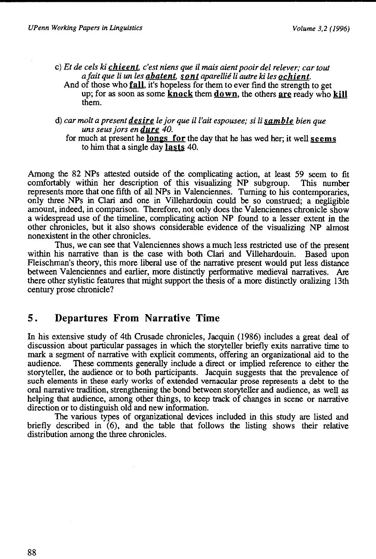them.

- c) *Et de eels ki chieent, c'est niens que il mais aient pooir del relever; car tout a fait que li un les abatent, sont aparellié li autre ki les ochient.* And of those who **fall,** it's hopeless for them to ever find the strength to get up; for as soon as some **knock** them **down**, the others are ready who kill
- d) *car molt a present desire le jar que ill'ait espousee; si li samble bien que uns seus jars endure 40.*

for much at present he **longs** for the day that he has wed her; it well seems to him that a single day lasts  $40$ .

Among the 82 NPs attested outside of the complicating action, at least 59 seem to fit comfortably within her description of this visualizing NP subgroup. This number represents more that one fifth of all NPs in Valenciennes. Turning to his contemporaries, only three NPs in Clari and one in Villehardouin could be so construed; a negligible amount, indeed, in comparison. Therefore, not only does the Valenciennes chronicle show a widespread use of the timeline, complicating action NP found to a lesser extent in the other chronicles, but it also shows considerable evidence of the visualizing NP almost nonexistent in the other chronicles.

Thus, we can see that Valenciennes shows a much less restricted use of the present within his narrative than is the case with both Clari and Villehardouin. Based upon Fleischman's theory, this more liberal use of the narrative present would put less distance between Valenciennes and earlier, more distinctly performative medieval narratives. Are there other stylistic features that might support the thesis of a more distinctly oralizing 13th century prose chronicle?

## **5. Departures From Narrative Time**

In his extensive study of 4th Crusade chronicles, Jacquin (1986) includes a great deal of discussion about particular passages in which the storyteller briefly exits narrative time to mark a segment of narrative with explicit comments, offering an organizational aid to the audience. These comments generally include a direct or implied reference to either the storyteller, the audience or to both participants. Jacquin suggests that the prevalence of such elements in these early works of extended vernacular prose represents a debt to the oral narrative tradition, strengthening the bond between storyteller and audience, as well as helping that audience, among other things, to keep track of changes in scene or narrative direction or to distinguish old and new information.

The various types of organizational devices included in this study are listed and briefly described in (6), and the table that follows the listing shows their relative distribution among the three chronicles.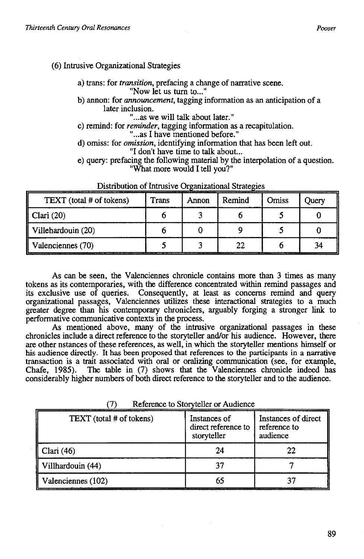#### (6) Intrusive Organizational Strategies

a) trans: for *transition,* prefacing a change of narrative scene. "Now let us turn to..."

b) annon: for *announcement,* tagging information as an anticipation of a later inclusion.

"... as we will talk about later."

c) remind: for *reminder,* tagging information as a recapitulation.

"... as I have mentioned before."

- d) omiss: for *omission,* identifying information that has been left out. "I don't have time to talk about...
- e) query: prefacing the following material by the interpolation of a question. "What more would I tell you?"

| TEXT (total # of tokens) | <b>Trans</b> | Annon | Remind | Omiss | Juerv |
|--------------------------|--------------|-------|--------|-------|-------|
| $\parallel$ Clari (20)   |              |       |        |       |       |
| Villehardouin (20)       |              |       |        |       |       |
| Valenciennes (70)        |              |       | 22     |       | 34    |

----------- --------.- -- --------- ----- ---

As can be seen, the Valenciennes chronicle contains more than 3 times as many tokens as its contemporaries, with the difference concentrated within remind passages and its exclusive use of queries. Consequently, at least as concerns remind and query organizational passages, Valenciennes utilizes these interactional strategies to a much greater degree than his contemporary chroniclers, arguably forging a stronger link to perforrnative communicative contexts in the process.

As mentioned above, many of the intrusive organizational passages in these chronicles include a direct reference to the storyteller and/or his audience. However, there are other nstances of these references, as well, in which the storyteller mentions himself or his audience directly. It has been proposed that references to the participants in a narrative transaction is a trait associated with oral or oralizing communication (see, for example, Chafe, 1985). The table in (7) shows that the Valenciennes chronicle indeed has considerably higher numbers of both direct reference to the storyteller and to the audience.

| TEXT (total # of tokens) | Instances of<br>direct reference to<br>storyteller | Instances of direct<br>reference to<br>audience |
|--------------------------|----------------------------------------------------|-------------------------------------------------|
| Clari $(46)$             |                                                    |                                                 |
| Villhardouin (44)        |                                                    |                                                 |
| Valenciennes (102)       |                                                    |                                                 |

(7) Reference to Storvteller or Audience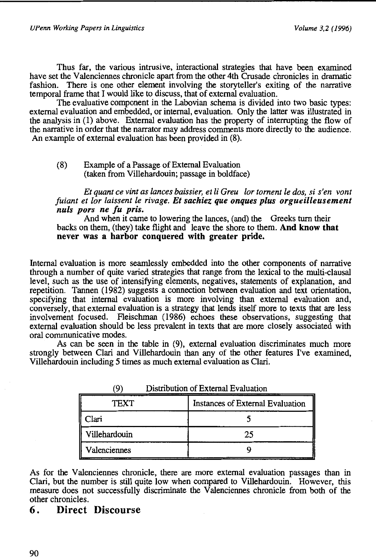Thus far, the various intrusive, interactional strategies that have been examined have set the Valenciennes chronicle apart from the other 4th Crusade chronicles in dramatic fashion. There is one other element involving the storyteller's exiting of the narrative temporal frame that I would like to discuss, that of external evaluation.

The evaluative component in the Labovian schema is divided into two basic types: external evaluation and embedded, or internal, evaluation. Only the latter was illustrated in the analysis in (1) above. External evaluation has the property of interrupting the flow of the narrative in order that the narrator may address comments more directly to the audience. An example of external evaluation has been provided in (8).

#### (8) Example of a Passage of External Evaluation (taken from Villehardouin; passage in boldface)

*Et quant ce vint as lances baissier, et li Greu lor foment le dos, si s'en vont fuiant et lor laissent le rivage. Et sachiez que onques plus orgueilleusement nuls pors ne fu pris.* 

And when it came to lowering the lances, (and) the Greeks turn their backs on them, (they) take flight and leave the shore to them. And know that never was a harbor conquered with greater pride.

Internal evaluation is more searnlessly embedded into the other components of narrative through a number of quite varied strategies that range from the lexical to the multi-clausal level, such as the use of intensifying elements, negatives, statements of explanation, and repetition. Tannen (1982) suggests a connection between evaluation and text orientation, specifying that internal evaluation is more involving than external evaluation and, conversely, that external evaluation is a strategy that lends itself more to texts that are less involvement focused. Fleischman (1986) echoes these observations, suggesting that external evaluation should be less prevalent in texts that are more closely associated with oral communicative modes.

As can be seen in the table in (9), external evaluation discriminates much more strongly between Clari and Villehardouin than any of the other features I've examined, Villehardouin including 5 times as much external evaluation as Clari.

| $\boldsymbol{\omega}$ we now the $\boldsymbol{\omega}$ matrix $\boldsymbol{\omega}$ |                                  |  |
|-------------------------------------------------------------------------------------|----------------------------------|--|
| TEXT                                                                                | Instances of External Evaluation |  |
| Clari                                                                               |                                  |  |
| Villehardouin                                                                       | 25                               |  |
| Valenciennes                                                                        |                                  |  |

(9) Distribution of External Evaluation

As for the Valenciennes chronicle, there are more external evaluation passages than in Clari, but the number is still quite low when compared to Villehardouin. However, this measure does not successfully discriminate the Valenciennes chronicle from both of the other chronicles.

## 6. Direct Discourse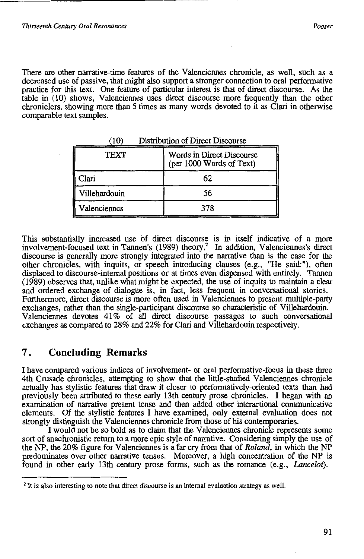There are other narrative-time features of the Valenciennes chronicle, as well, such as a decreased use of passive, that might also support a stronger connection to oral performative practice for this text. One feature of particular interest is that of direct discourse. As the table in (10) shows, Valenciennes uses direct discourse more frequently than the other chroniclers, showing more than *5* times as many words devoted to it as Clari in otherwise comparable text samples.

| TEXT          | Words in Direct Discourse<br>(per 1000 Words of Text) |
|---------------|-------------------------------------------------------|
| Clari         | 62                                                    |
| Villehardouin | 56                                                    |
| Valenciennes  | 378                                                   |

(10) Distribution of Direct Discourse

This substantially increased use of direct discourse is in itself indicative of a more involvement-focused text in Tannen's (1989) theory.<sup>2</sup> In addition, Valenciennes's direct discourse is generally more strongly integrated into the narrative than is the case for the other chronicles, with inquits, or speech introducing clauses (e.g., "He said:"), often displaced to discourse-internal positions or at times even dispensed with entirely. Tannen (1989) observes that, unlike what might be expected, the use of inquits to maintain a clear and ordered exchange of dialogue is, in fact, less frequent in conversational stories. Furthermore, direct discourse is more often used in Valenciennes to present multiple-party exchanges, rather than the single-participant discourse so characteristic of Villehardouin. Valenciennes devotes 41% of all direct discourse passages to such conversational exchanges as compared to 28% and 22% for Clari and Villehardouin respectively.

## **7. Concluding Remarks**

I have compared various indices of involvement- or oral performative-focus in these three 4th Crusade chronicles, attempting to show that the little-studied Valenciennes chronicle actually has stylistic features that draw it closer to performatively-oriented texts than had previously been attributed to these early 13th century prose chronicles. I began with an examination of narrative present tense and then added other interactional communicative elements. Of the stylistic features I have examined, only external evaluation does not strongly distinguish the Valenciennes chronicle from those of his contemporaries.

I would not be so bold as to claim that the Valenciennes chronicle represents some sort of anachronistic return to a more epic style of narrative. Considering simply the use of the NP, the 20% figure for Valenciennes is a far cry from that of *Roland,* in which the NP predominates over other narrative tenses. Moreover, a high concentration of the NP is found in other early 13th century prose forms, such as the romance (e.g., *Lancelot*).

<sup>&</sup>lt;sup>2</sup> It is also interesting to note that direct discourse is an internal evaluation strategy as well.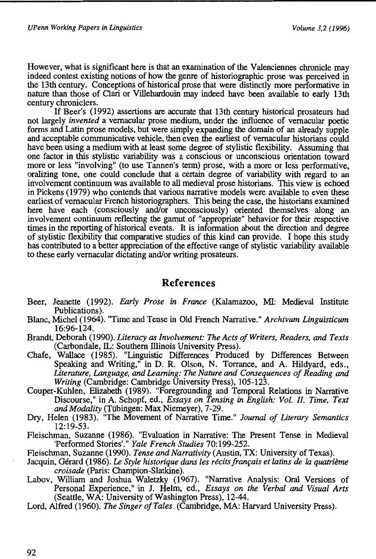However, what is significant here is that an examination of the Valenciennes chronicle may indeed contest existing notions of how the genre of historiographic prose was perceived in the 13th century. Conceptions of historical prose that were distinctly more perforrnative in nature than those of Clari or Villehardouin may indeed have been available to early 13th century chroniclers.

If Beer's (1992) assertions are accurate that 13th century historical prosateurs had not largely *invented* a vernacular prose medium, under the influence of vernacular poetic forms and Latin prose models, but were simply expanding the domain of an already supple and acceptable communicative vehicle, then even the earliest of vernacular historians could have been using a medium with at least some degree of stylistic flexibility. Assuming that one factor in this stylistic variability was a conscious or unconscious orientation toward more or less "involving" (to use Tannen's term) prose, with a more or less performative, oralizing tone, one could conclude that a certain degree of variability with regard to an involvement continuum was available to all medieval prose historians. This view is echoed in Pickens (1979) who contends that various narrative models were available to even these earliest of vernacular French historiographers. This being the case, the historians examined here have each (consciously and/or unconsciously) oriented themselves along an involvement continuum reflecting the gamut of "appropriate" behavior for their respective times in the reporting of historical events. It is information about the direction and degree of stylistic flexibility that comparative studies of this kind can provide. I hope this study has contributed to a better appreciation of the effective range of stylistic variability available to these early vernacular dictating and/or writing prosateurs.

## **References**

- Beer, Jeanette (1992). *Early Prose* in *France* (Kalamazoo, MI: Medieval Institute Publications).
- Blanc, Michel (1964). "Time and Tense in Old French Narrative." *Archivum Linguisticum*  16:96-124.
- Brandt, Deborah (1990). *Literacy as Involvement: The Acts of Writers, Readers,* and *Texts*  (Carbondale, IL: Southern lllinois University Press).
- Chafe, Wallace (1985). "Linguistic Differences Produced by Differences Between Speaking and Writing," in D. R. Olson, N. Torrance, and A. Hildyard, eds., *Literature, Language,* and *Learning:* The *Nature* and *Consequences of Reading* and *Writing* (Cambridge: Cambridge University Press), 105-123.
- Couper-Kuhlen, Elizabeth (1989). "Foregrounding and Temporal Relations in Narrative Discourse," in A. Schopf, ed., *Essays on Tensing* in *English: Vol. II. Time, Text and Modality* (Tiibingen: Max Niemeyer), 7-29.
- Dry, Helen (1983). "The Movement of Narrative Time." *Journal of Literary Semantics*  12:19-53.
- Fleischman, Suzanne (1986). "Evaluation in Narrative: The Present Tense in Medieval 'Performed Stories'." *Yale French Studies* 70:199-252.
- Fleischman, Suzanne (1990). *Tense and Narrativity* (Austin, TX: University of Texas).
- Jacquin, Gerard (1986). *Le Style historique dans les et latins de* Ia *quatrieme croisade* (Paris: Champion-Slatkine).
- Labov, William and Joshua Waletzky (1967). "Narrative Analysis: Oral Versions of Personal Experience," in J. Helm, ed., *Essays on the Verbal* and *Visual Arts*  (Seattle, WA: University of Washington Press), 12-44.
- Lord, Alfred (1960). *The Singer of Tales* (Cambridge, MA: Harvard University Press).